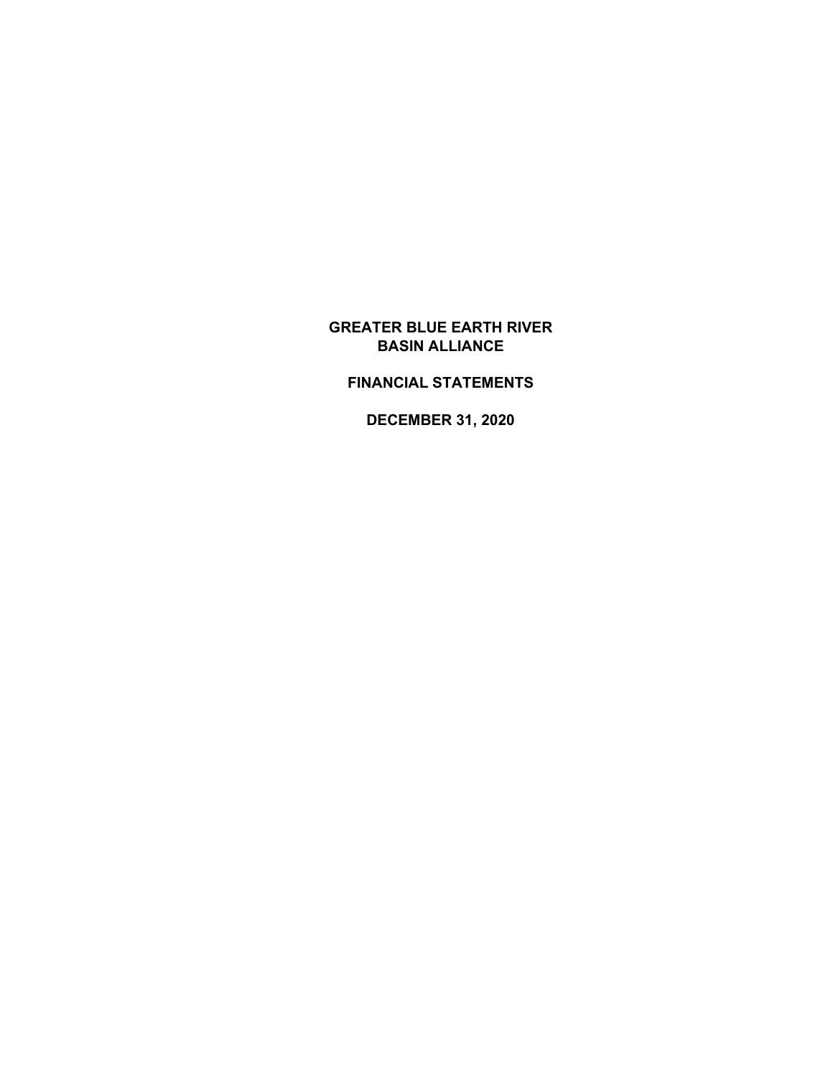# **GREATER BLUE EARTH RIVER BASIN ALLIANCE**

#### **FINANCIAL STATEMENTS**

**DECEMBER 31, 2020**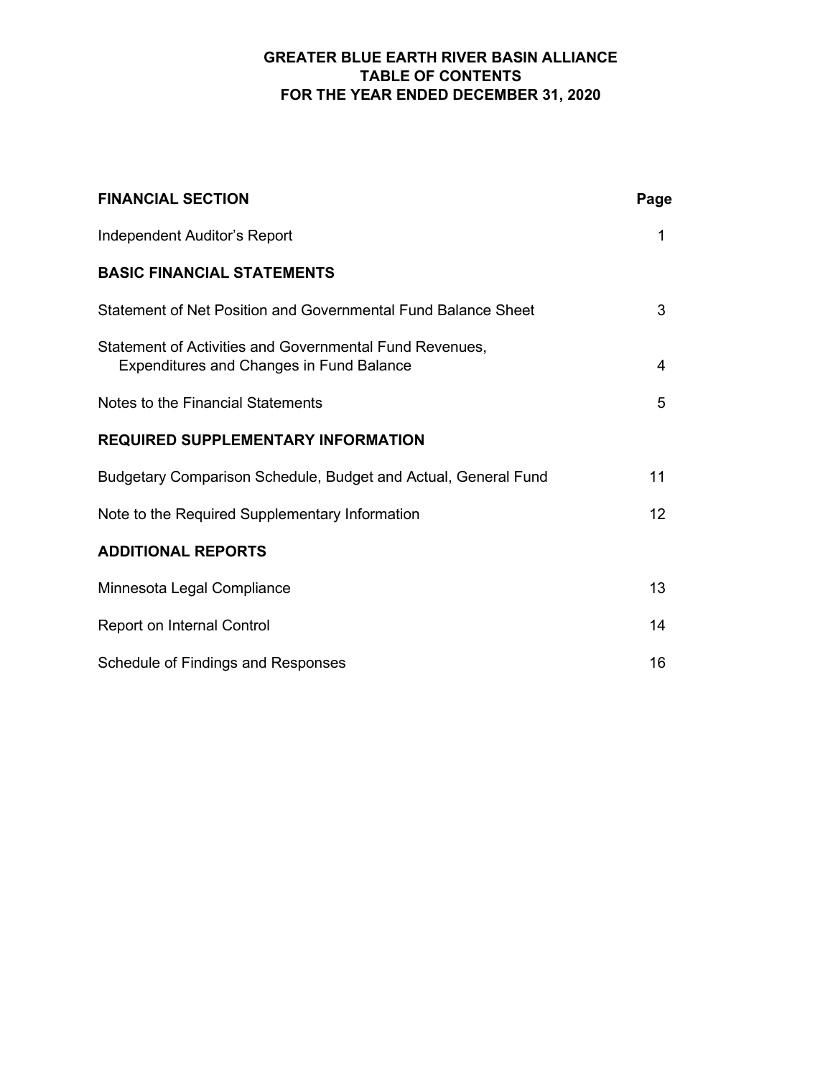# **GREATER BLUE EARTH RIVER BASIN ALLIANCE TABLE OF CONTENTS FOR THE YEAR ENDED DECEMBER 31, 2020**

| <b>FINANCIAL SECTION</b>                                                                                   | Page |
|------------------------------------------------------------------------------------------------------------|------|
| Independent Auditor's Report                                                                               | 1    |
| <b>BASIC FINANCIAL STATEMENTS</b>                                                                          |      |
| Statement of Net Position and Governmental Fund Balance Sheet                                              | 3    |
| Statement of Activities and Governmental Fund Revenues,<br><b>Expenditures and Changes in Fund Balance</b> | 4    |
| Notes to the Financial Statements                                                                          | 5    |
| <b>REQUIRED SUPPLEMENTARY INFORMATION</b>                                                                  |      |
| Budgetary Comparison Schedule, Budget and Actual, General Fund                                             | 11   |
| Note to the Required Supplementary Information                                                             | 12   |
| <b>ADDITIONAL REPORTS</b>                                                                                  |      |
| Minnesota Legal Compliance                                                                                 | 13   |
| Report on Internal Control                                                                                 | 14   |
| Schedule of Findings and Responses                                                                         | 16   |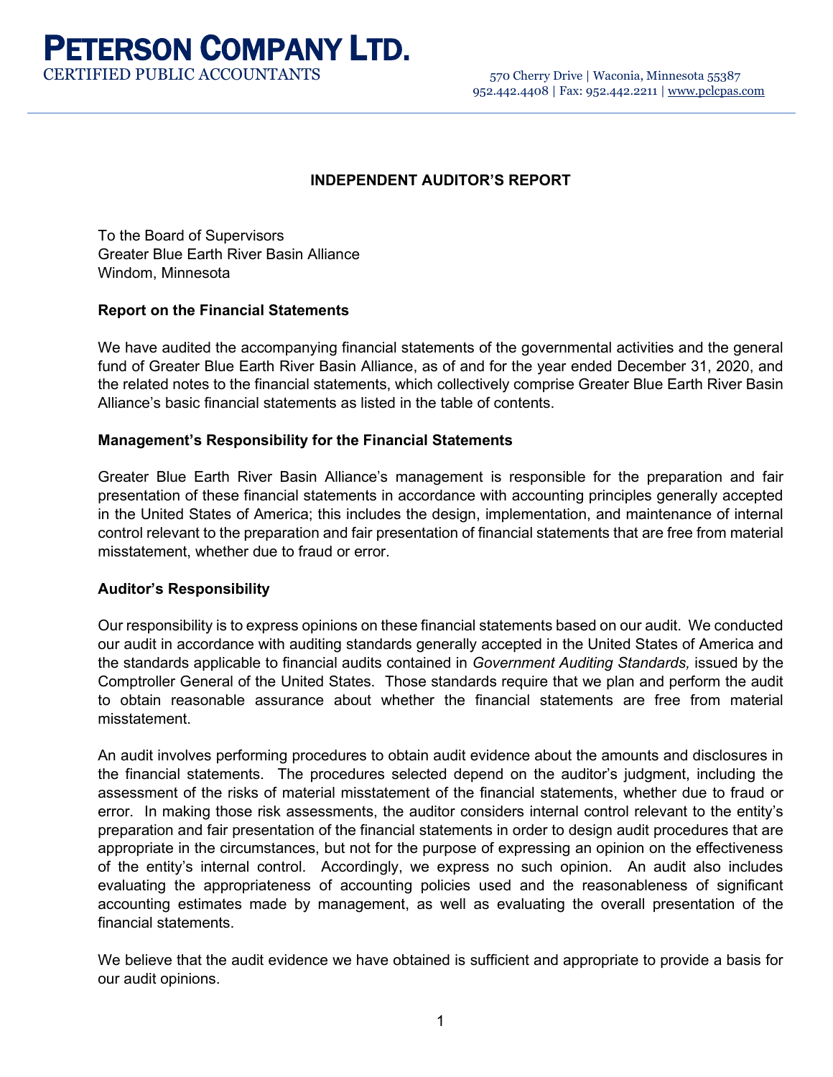**PETERSON COMPANY LTD.**<br>CERTIFIED PUBLIC ACCOUNTANTS 570 Cherry Drive | Waconia, Minnesota 55387 952.442.4408 | Fax: 952.442.2211 [| www.pclcpas.com](http://www.pclcpas.com/)

# **INDEPENDENT AUDITOR'S REPORT**

To the Board of Supervisors Greater Blue Earth River Basin Alliance Windom, Minnesota

#### **Report on the Financial Statements**

We have audited the accompanying financial statements of the governmental activities and the general fund of Greater Blue Earth River Basin Alliance, as of and for the year ended December 31, 2020, and the related notes to the financial statements, which collectively comprise Greater Blue Earth River Basin Alliance's basic financial statements as listed in the table of contents.

#### **Management's Responsibility for the Financial Statements**

Greater Blue Earth River Basin Alliance's management is responsible for the preparation and fair presentation of these financial statements in accordance with accounting principles generally accepted in the United States of America; this includes the design, implementation, and maintenance of internal control relevant to the preparation and fair presentation of financial statements that are free from material misstatement, whether due to fraud or error.

#### **Auditor's Responsibility**

Our responsibility is to express opinions on these financial statements based on our audit. We conducted our audit in accordance with auditing standards generally accepted in the United States of America and the standards applicable to financial audits contained in *Government Auditing Standards,* issued by the Comptroller General of the United States. Those standards require that we plan and perform the audit to obtain reasonable assurance about whether the financial statements are free from material misstatement.

An audit involves performing procedures to obtain audit evidence about the amounts and disclosures in the financial statements. The procedures selected depend on the auditor's judgment, including the assessment of the risks of material misstatement of the financial statements, whether due to fraud or error. In making those risk assessments, the auditor considers internal control relevant to the entity's preparation and fair presentation of the financial statements in order to design audit procedures that are appropriate in the circumstances, but not for the purpose of expressing an opinion on the effectiveness of the entity's internal control. Accordingly, we express no such opinion. An audit also includes evaluating the appropriateness of accounting policies used and the reasonableness of significant accounting estimates made by management, as well as evaluating the overall presentation of the financial statements.

We believe that the audit evidence we have obtained is sufficient and appropriate to provide a basis for our audit opinions.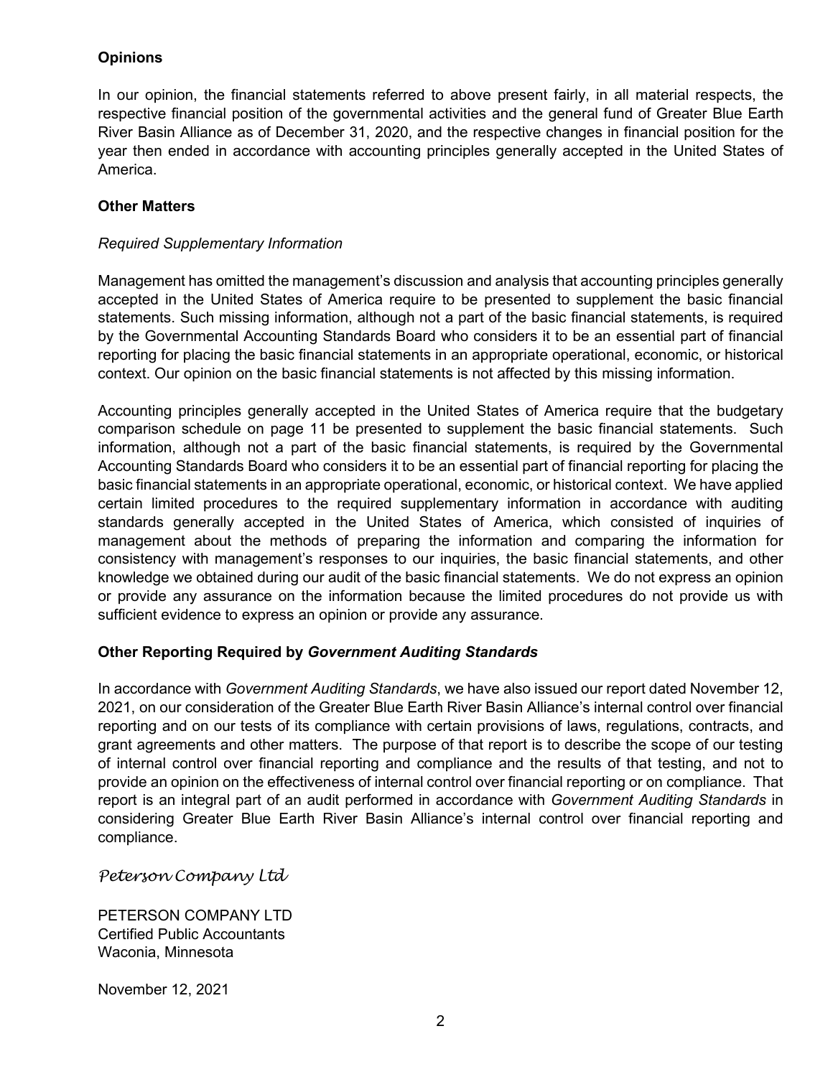# **Opinions**

In our opinion, the financial statements referred to above present fairly, in all material respects, the respective financial position of the governmental activities and the general fund of Greater Blue Earth River Basin Alliance as of December 31, 2020, and the respective changes in financial position for the year then ended in accordance with accounting principles generally accepted in the United States of America.

# **Other Matters**

#### *Required Supplementary Information*

Management has omitted the management's discussion and analysis that accounting principles generally accepted in the United States of America require to be presented to supplement the basic financial statements. Such missing information, although not a part of the basic financial statements, is required by the Governmental Accounting Standards Board who considers it to be an essential part of financial reporting for placing the basic financial statements in an appropriate operational, economic, or historical context. Our opinion on the basic financial statements is not affected by this missing information.

Accounting principles generally accepted in the United States of America require that the budgetary comparison schedule on page 11 be presented to supplement the basic financial statements. Such information, although not a part of the basic financial statements, is required by the Governmental Accounting Standards Board who considers it to be an essential part of financial reporting for placing the basic financial statements in an appropriate operational, economic, or historical context. We have applied certain limited procedures to the required supplementary information in accordance with auditing standards generally accepted in the United States of America, which consisted of inquiries of management about the methods of preparing the information and comparing the information for consistency with management's responses to our inquiries, the basic financial statements, and other knowledge we obtained during our audit of the basic financial statements. We do not express an opinion or provide any assurance on the information because the limited procedures do not provide us with sufficient evidence to express an opinion or provide any assurance.

#### **Other Reporting Required by** *Government Auditing Standards*

In accordance with *Government Auditing Standards*, we have also issued our report dated November 12, 2021, on our consideration of the Greater Blue Earth River Basin Alliance's internal control over financial reporting and on our tests of its compliance with certain provisions of laws, regulations, contracts, and grant agreements and other matters. The purpose of that report is to describe the scope of our testing of internal control over financial reporting and compliance and the results of that testing, and not to provide an opinion on the effectiveness of internal control over financial reporting or on compliance. That report is an integral part of an audit performed in accordance with *Government Auditing Standards* in considering Greater Blue Earth River Basin Alliance's internal control over financial reporting and compliance.

*Peterson Company Ltd*

PETERSON COMPANY LTD Certified Public Accountants Waconia, Minnesota

November 12, 2021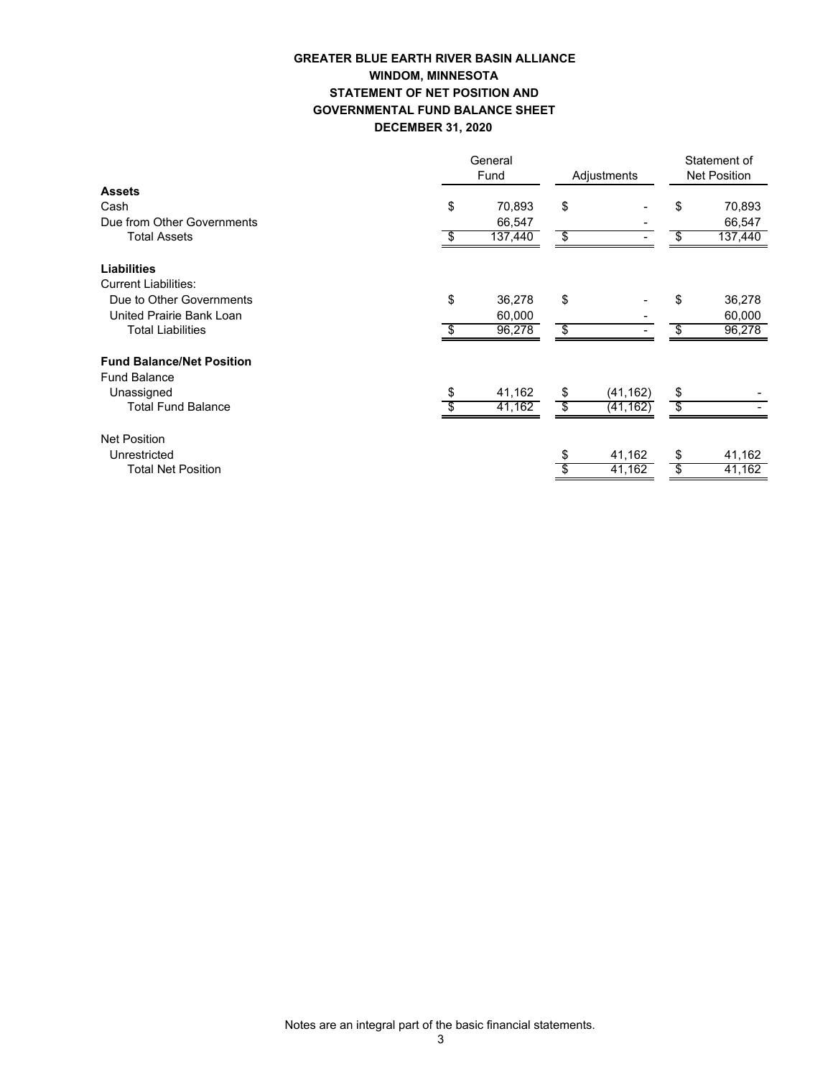#### **GREATER BLUE EARTH RIVER BASIN ALLIANCE WINDOM, MINNESOTA STATEMENT OF NET POSITION AND GOVERNMENTAL FUND BALANCE SHEET DECEMBER 31, 2020**

| General<br>Fund                  |    |         | Adjustments |           | Statement of<br><b>Net Position</b> |         |
|----------------------------------|----|---------|-------------|-----------|-------------------------------------|---------|
| <b>Assets</b>                    |    |         |             |           |                                     |         |
| Cash                             | \$ | 70,893  | \$          |           | \$                                  | 70,893  |
| Due from Other Governments       |    | 66,547  |             |           |                                     | 66,547  |
| <b>Total Assets</b>              | \$ | 137,440 | \$          |           | S                                   | 137,440 |
| <b>Liabilities</b>               |    |         |             |           |                                     |         |
| <b>Current Liabilities:</b>      |    |         |             |           |                                     |         |
| Due to Other Governments         | \$ | 36,278  | \$          |           | \$                                  | 36,278  |
| United Prairie Bank Loan         |    | 60,000  |             |           |                                     | 60,000  |
| <b>Total Liabilities</b>         | \$ | 96,278  | -\$         |           | \$.                                 | 96,278  |
| <b>Fund Balance/Net Position</b> |    |         |             |           |                                     |         |
| <b>Fund Balance</b>              |    |         |             |           |                                     |         |
| Unassigned                       | \$ | 41,162  | \$          | (41, 162) | \$                                  |         |
| <b>Total Fund Balance</b>        | \$ | 41,162  | \$          | (41, 162) | \$                                  |         |
| <b>Net Position</b>              |    |         |             |           |                                     |         |
| Unrestricted                     |    |         | \$          | 41,162    | \$                                  | 41,162  |
| <b>Total Net Position</b>        |    |         | S           | 41,162    | \$                                  | 41,162  |

Notes are an integral part of the basic financial statements.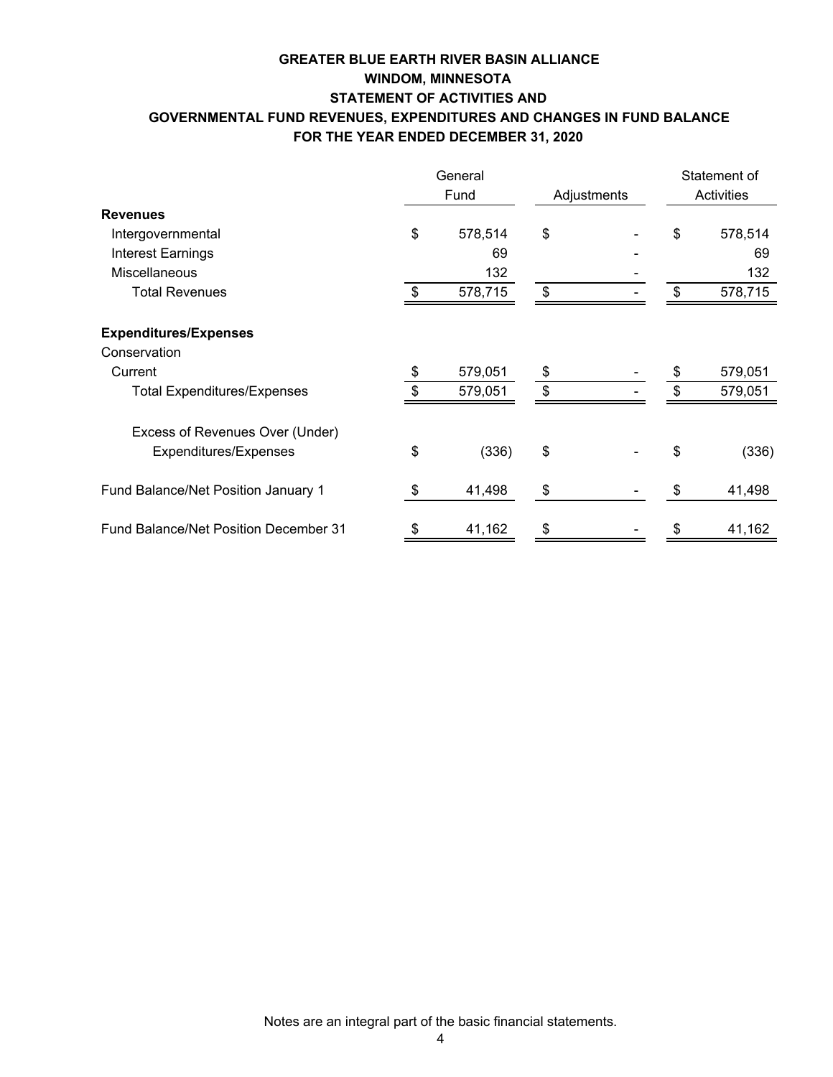# **GREATER BLUE EARTH RIVER BASIN ALLIANCE WINDOM, MINNESOTA STATEMENT OF ACTIVITIES AND GOVERNMENTAL FUND REVENUES, EXPENDITURES AND CHANGES IN FUND BALANCE FOR THE YEAR ENDED DECEMBER 31, 2020**

|                                              | General<br>Fund |         | Adjustments |  | Statement of<br>Activities |         |
|----------------------------------------------|-----------------|---------|-------------|--|----------------------------|---------|
|                                              |                 |         |             |  |                            |         |
| <b>Revenues</b>                              |                 |         |             |  |                            |         |
| Intergovernmental                            | \$              | 578,514 | \$          |  | \$                         | 578,514 |
| <b>Interest Earnings</b>                     |                 | 69      |             |  |                            | 69      |
| Miscellaneous                                |                 | 132     |             |  |                            | 132     |
| <b>Total Revenues</b>                        |                 | 578,715 | \$          |  | \$                         | 578,715 |
| <b>Expenditures/Expenses</b>                 |                 |         |             |  |                            |         |
| Conservation                                 |                 |         |             |  |                            |         |
| Current                                      | \$              | 579,051 | \$          |  |                            | 579,051 |
| <b>Total Expenditures/Expenses</b>           |                 | 579,051 | \$          |  | \$                         | 579,051 |
| Excess of Revenues Over (Under)              |                 |         |             |  |                            |         |
| Expenditures/Expenses                        | \$              | (336)   | \$          |  | \$                         | (336)   |
| Fund Balance/Net Position January 1          | \$              | 41,498  | \$          |  | \$                         | 41,498  |
| <b>Fund Balance/Net Position December 31</b> | \$              | 41,162  | \$          |  | \$                         | 41,162  |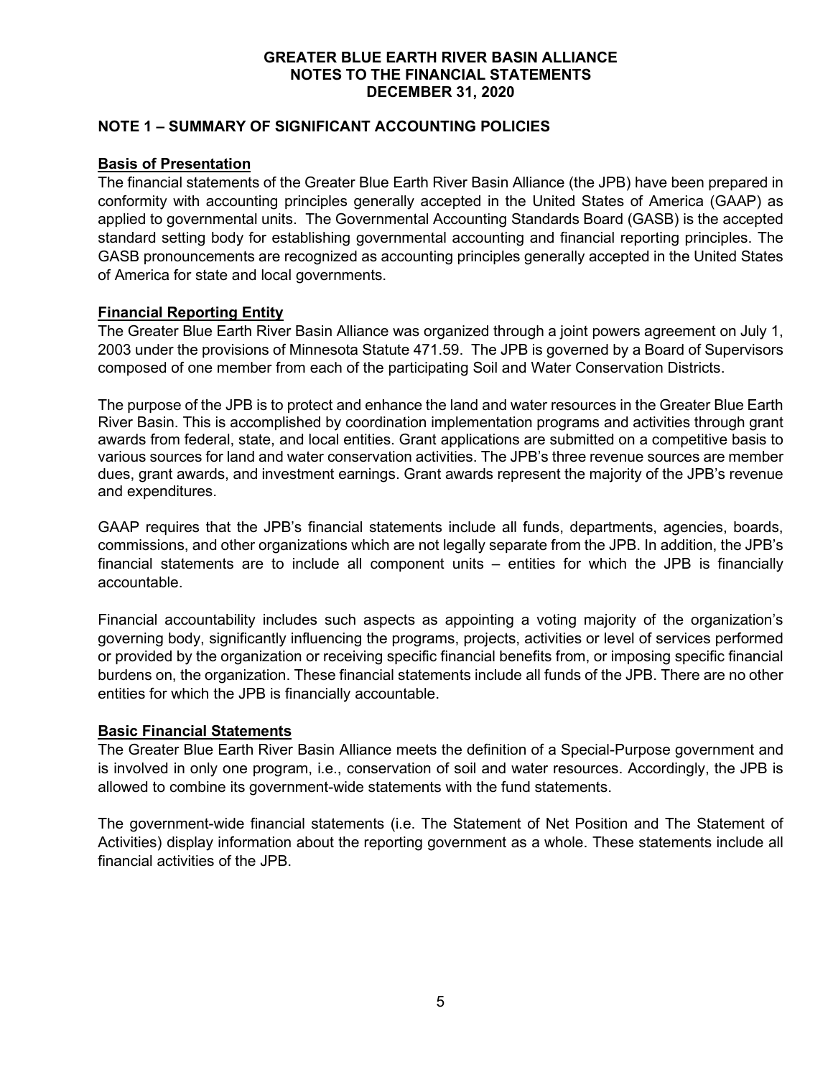#### **NOTE 1 – SUMMARY OF SIGNIFICANT ACCOUNTING POLICIES**

#### **Basis of Presentation**

The financial statements of the Greater Blue Earth River Basin Alliance (the JPB) have been prepared in conformity with accounting principles generally accepted in the United States of America (GAAP) as applied to governmental units. The Governmental Accounting Standards Board (GASB) is the accepted standard setting body for establishing governmental accounting and financial reporting principles. The GASB pronouncements are recognized as accounting principles generally accepted in the United States of America for state and local governments.

#### **Financial Reporting Entity**

The Greater Blue Earth River Basin Alliance was organized through a joint powers agreement on July 1, 2003 under the provisions of Minnesota Statute 471.59. The JPB is governed by a Board of Supervisors composed of one member from each of the participating Soil and Water Conservation Districts.

The purpose of the JPB is to protect and enhance the land and water resources in the Greater Blue Earth River Basin. This is accomplished by coordination implementation programs and activities through grant awards from federal, state, and local entities. Grant applications are submitted on a competitive basis to various sources for land and water conservation activities. The JPB's three revenue sources are member dues, grant awards, and investment earnings. Grant awards represent the majority of the JPB's revenue and expenditures.

GAAP requires that the JPB's financial statements include all funds, departments, agencies, boards, commissions, and other organizations which are not legally separate from the JPB. In addition, the JPB's financial statements are to include all component units – entities for which the JPB is financially accountable.

Financial accountability includes such aspects as appointing a voting majority of the organization's governing body, significantly influencing the programs, projects, activities or level of services performed or provided by the organization or receiving specific financial benefits from, or imposing specific financial burdens on, the organization. These financial statements include all funds of the JPB. There are no other entities for which the JPB is financially accountable.

#### **Basic Financial Statements**

The Greater Blue Earth River Basin Alliance meets the definition of a Special-Purpose government and is involved in only one program, i.e., conservation of soil and water resources. Accordingly, the JPB is allowed to combine its government-wide statements with the fund statements.

The government-wide financial statements (i.e. The Statement of Net Position and The Statement of Activities) display information about the reporting government as a whole. These statements include all financial activities of the JPB.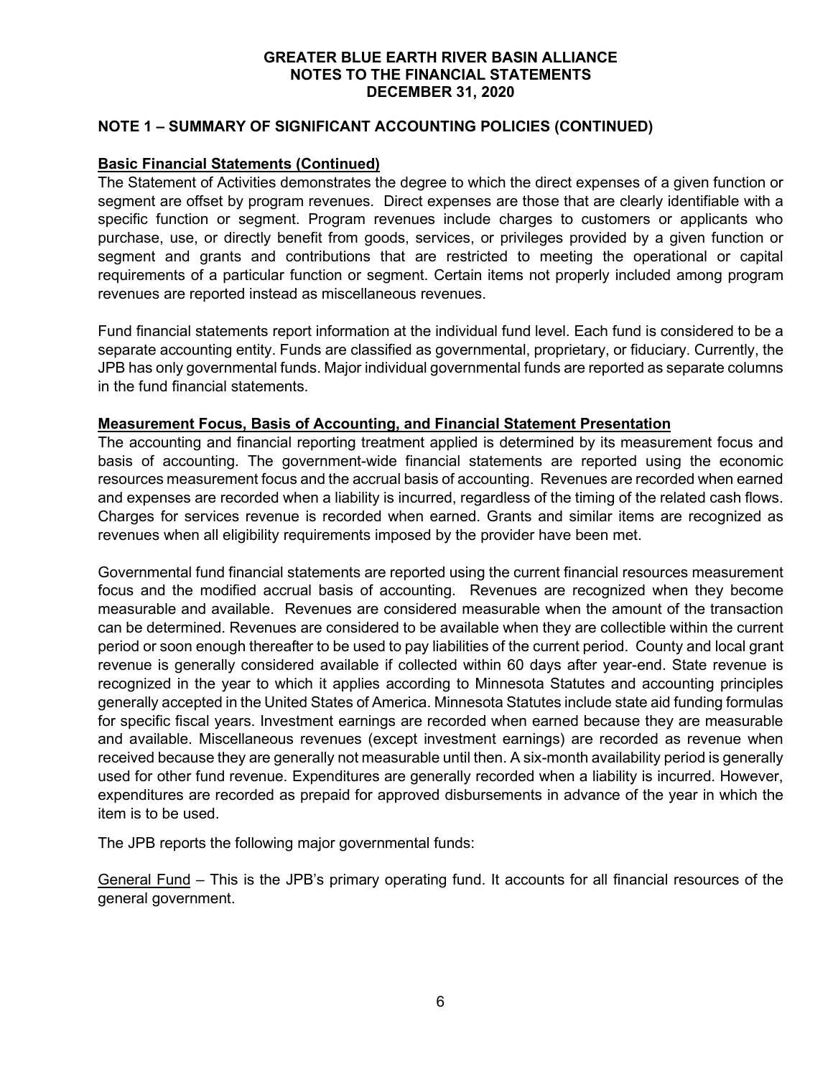#### **NOTE 1 – SUMMARY OF SIGNIFICANT ACCOUNTING POLICIES (CONTINUED)**

#### **Basic Financial Statements (Continued)**

The Statement of Activities demonstrates the degree to which the direct expenses of a given function or segment are offset by program revenues. Direct expenses are those that are clearly identifiable with a specific function or segment. Program revenues include charges to customers or applicants who purchase, use, or directly benefit from goods, services, or privileges provided by a given function or segment and grants and contributions that are restricted to meeting the operational or capital requirements of a particular function or segment. Certain items not properly included among program revenues are reported instead as miscellaneous revenues.

Fund financial statements report information at the individual fund level. Each fund is considered to be a separate accounting entity. Funds are classified as governmental, proprietary, or fiduciary. Currently, the JPB has only governmental funds. Major individual governmental funds are reported as separate columns in the fund financial statements.

#### **Measurement Focus, Basis of Accounting, and Financial Statement Presentation**

The accounting and financial reporting treatment applied is determined by its measurement focus and basis of accounting. The government-wide financial statements are reported using the economic resources measurement focus and the accrual basis of accounting. Revenues are recorded when earned and expenses are recorded when a liability is incurred, regardless of the timing of the related cash flows. Charges for services revenue is recorded when earned. Grants and similar items are recognized as revenues when all eligibility requirements imposed by the provider have been met.

Governmental fund financial statements are reported using the current financial resources measurement focus and the modified accrual basis of accounting. Revenues are recognized when they become measurable and available. Revenues are considered measurable when the amount of the transaction can be determined. Revenues are considered to be available when they are collectible within the current period or soon enough thereafter to be used to pay liabilities of the current period. County and local grant revenue is generally considered available if collected within 60 days after year-end. State revenue is recognized in the year to which it applies according to Minnesota Statutes and accounting principles generally accepted in the United States of America. Minnesota Statutes include state aid funding formulas for specific fiscal years. Investment earnings are recorded when earned because they are measurable and available. Miscellaneous revenues (except investment earnings) are recorded as revenue when received because they are generally not measurable until then. A six-month availability period is generally used for other fund revenue. Expenditures are generally recorded when a liability is incurred. However, expenditures are recorded as prepaid for approved disbursements in advance of the year in which the item is to be used.

The JPB reports the following major governmental funds:

General Fund – This is the JPB's primary operating fund. It accounts for all financial resources of the general government.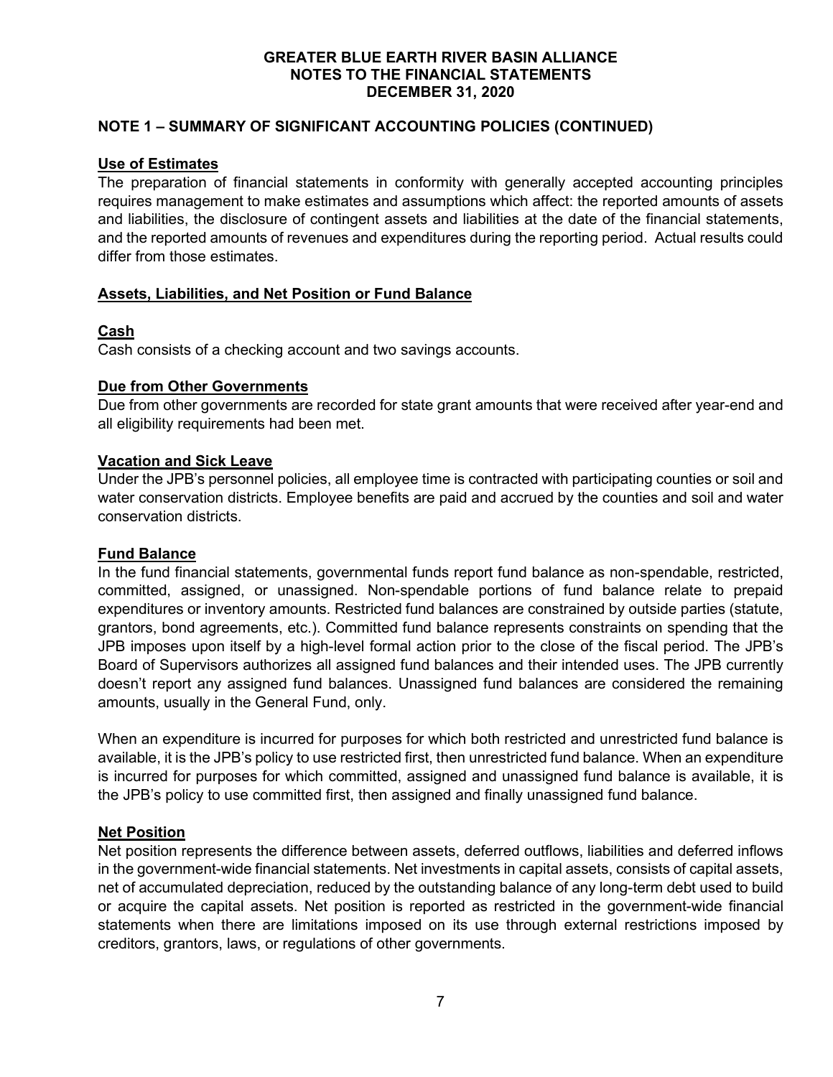#### **NOTE 1 – SUMMARY OF SIGNIFICANT ACCOUNTING POLICIES (CONTINUED)**

#### **Use of Estimates**

The preparation of financial statements in conformity with generally accepted accounting principles requires management to make estimates and assumptions which affect: the reported amounts of assets and liabilities, the disclosure of contingent assets and liabilities at the date of the financial statements, and the reported amounts of revenues and expenditures during the reporting period. Actual results could differ from those estimates.

#### **Assets, Liabilities, and Net Position or Fund Balance**

#### **Cash**

Cash consists of a checking account and two savings accounts.

#### **Due from Other Governments**

Due from other governments are recorded for state grant amounts that were received after year-end and all eligibility requirements had been met.

#### **Vacation and Sick Leave**

Under the JPB's personnel policies, all employee time is contracted with participating counties or soil and water conservation districts. Employee benefits are paid and accrued by the counties and soil and water conservation districts.

#### **Fund Balance**

In the fund financial statements, governmental funds report fund balance as non-spendable, restricted, committed, assigned, or unassigned. Non-spendable portions of fund balance relate to prepaid expenditures or inventory amounts. Restricted fund balances are constrained by outside parties (statute, grantors, bond agreements, etc.). Committed fund balance represents constraints on spending that the JPB imposes upon itself by a high-level formal action prior to the close of the fiscal period. The JPB's Board of Supervisors authorizes all assigned fund balances and their intended uses. The JPB currently doesn't report any assigned fund balances. Unassigned fund balances are considered the remaining amounts, usually in the General Fund, only.

When an expenditure is incurred for purposes for which both restricted and unrestricted fund balance is available, it is the JPB's policy to use restricted first, then unrestricted fund balance. When an expenditure is incurred for purposes for which committed, assigned and unassigned fund balance is available, it is the JPB's policy to use committed first, then assigned and finally unassigned fund balance.

#### **Net Position**

Net position represents the difference between assets, deferred outflows, liabilities and deferred inflows in the government-wide financial statements. Net investments in capital assets, consists of capital assets, net of accumulated depreciation, reduced by the outstanding balance of any long-term debt used to build or acquire the capital assets. Net position is reported as restricted in the government-wide financial statements when there are limitations imposed on its use through external restrictions imposed by creditors, grantors, laws, or regulations of other governments.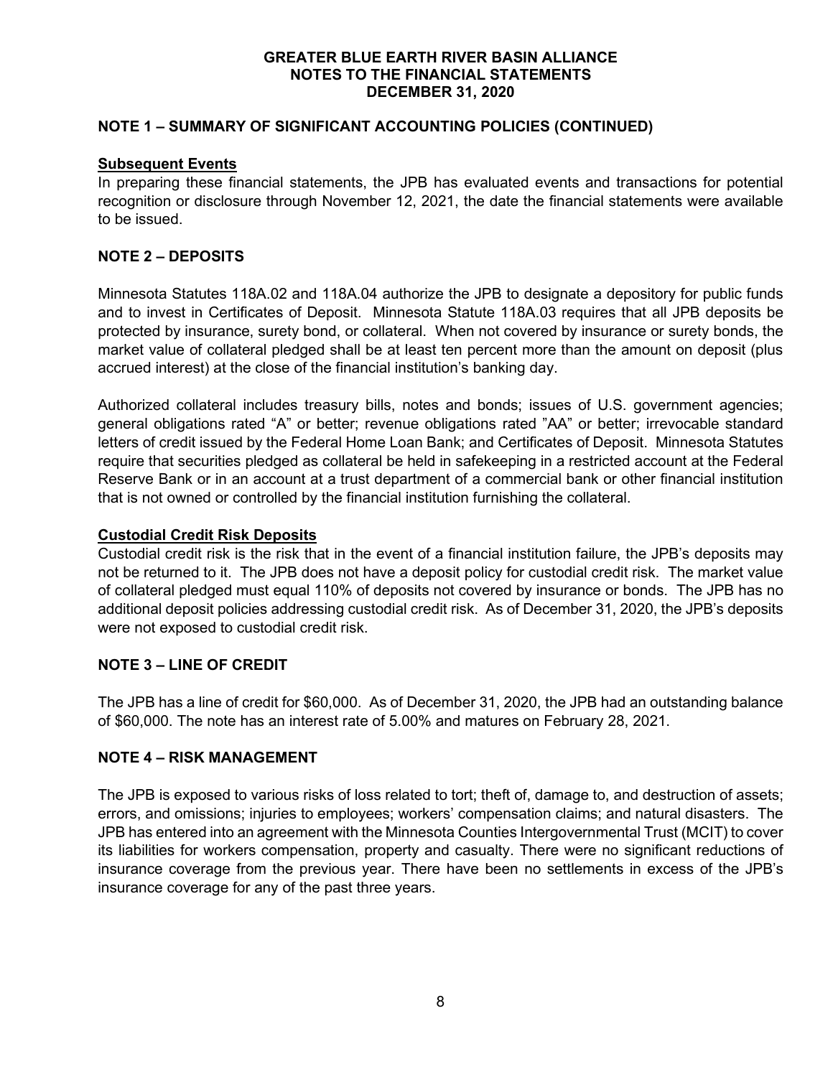#### **NOTE 1 – SUMMARY OF SIGNIFICANT ACCOUNTING POLICIES (CONTINUED)**

#### **Subsequent Events**

In preparing these financial statements, the JPB has evaluated events and transactions for potential recognition or disclosure through November 12, 2021, the date the financial statements were available to be issued.

#### **NOTE 2 – DEPOSITS**

Minnesota Statutes 118A.02 and 118A.04 authorize the JPB to designate a depository for public funds and to invest in Certificates of Deposit. Minnesota Statute 118A.03 requires that all JPB deposits be protected by insurance, surety bond, or collateral. When not covered by insurance or surety bonds, the market value of collateral pledged shall be at least ten percent more than the amount on deposit (plus accrued interest) at the close of the financial institution's banking day.

Authorized collateral includes treasury bills, notes and bonds; issues of U.S. government agencies; general obligations rated "A" or better; revenue obligations rated "AA" or better; irrevocable standard letters of credit issued by the Federal Home Loan Bank; and Certificates of Deposit. Minnesota Statutes require that securities pledged as collateral be held in safekeeping in a restricted account at the Federal Reserve Bank or in an account at a trust department of a commercial bank or other financial institution that is not owned or controlled by the financial institution furnishing the collateral.

#### **Custodial Credit Risk Deposits**

Custodial credit risk is the risk that in the event of a financial institution failure, the JPB's deposits may not be returned to it. The JPB does not have a deposit policy for custodial credit risk. The market value of collateral pledged must equal 110% of deposits not covered by insurance or bonds. The JPB has no additional deposit policies addressing custodial credit risk. As of December 31, 2020, the JPB's deposits were not exposed to custodial credit risk.

#### **NOTE 3 – LINE OF CREDIT**

The JPB has a line of credit for \$60,000. As of December 31, 2020, the JPB had an outstanding balance of \$60,000. The note has an interest rate of 5.00% and matures on February 28, 2021.

#### **NOTE 4 – RISK MANAGEMENT**

The JPB is exposed to various risks of loss related to tort; theft of, damage to, and destruction of assets; errors, and omissions; injuries to employees; workers' compensation claims; and natural disasters. The JPB has entered into an agreement with the Minnesota Counties Intergovernmental Trust (MCIT) to cover its liabilities for workers compensation, property and casualty. There were no significant reductions of insurance coverage from the previous year. There have been no settlements in excess of the JPB's insurance coverage for any of the past three years.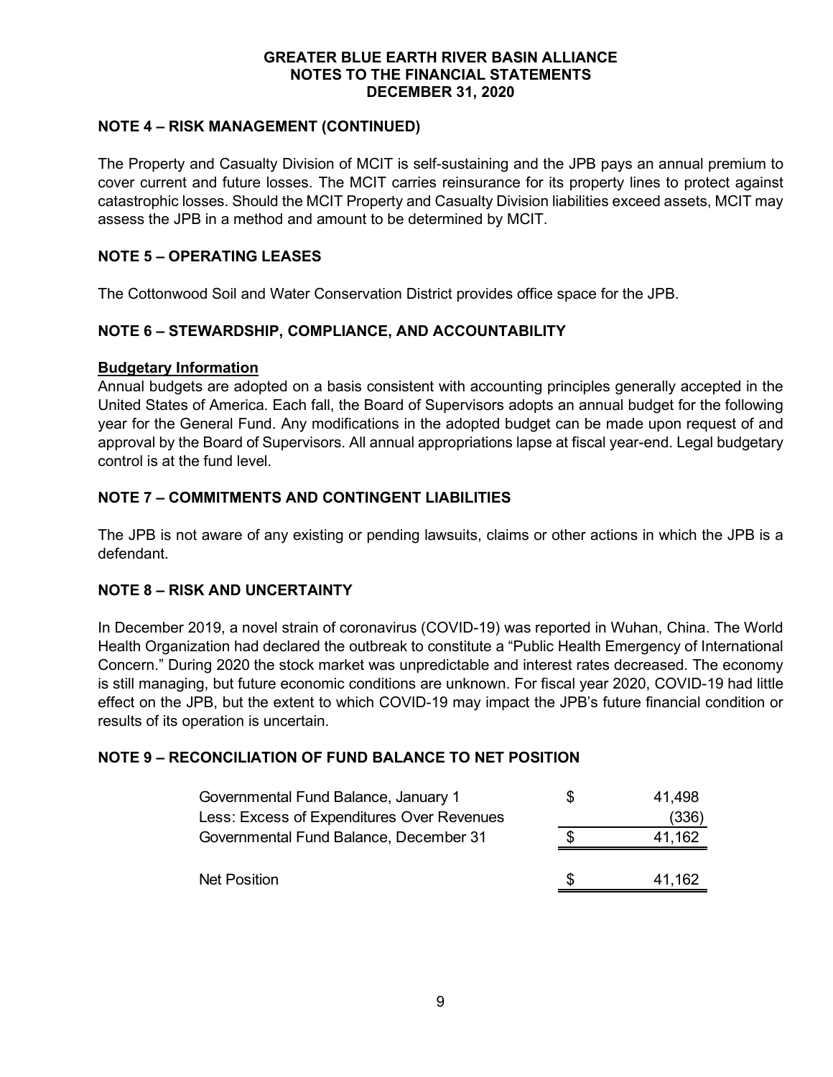## **NOTE 4 – RISK MANAGEMENT (CONTINUED)**

The Property and Casualty Division of MCIT is self-sustaining and the JPB pays an annual premium to cover current and future losses. The MCIT carries reinsurance for its property lines to protect against catastrophic losses. Should the MCIT Property and Casualty Division liabilities exceed assets, MCIT may assess the JPB in a method and amount to be determined by MCIT.

## **NOTE 5 – OPERATING LEASES**

The Cottonwood Soil and Water Conservation District provides office space for the JPB.

# **NOTE 6 – STEWARDSHIP, COMPLIANCE, AND ACCOUNTABILITY**

#### **Budgetary Information**

Annual budgets are adopted on a basis consistent with accounting principles generally accepted in the United States of America. Each fall, the Board of Supervisors adopts an annual budget for the following year for the General Fund. Any modifications in the adopted budget can be made upon request of and approval by the Board of Supervisors. All annual appropriations lapse at fiscal year-end. Legal budgetary control is at the fund level.

#### **NOTE 7 – COMMITMENTS AND CONTINGENT LIABILITIES**

The JPB is not aware of any existing or pending lawsuits, claims or other actions in which the JPB is a defendant.

#### **NOTE 8 – RISK AND UNCERTAINTY**

In December 2019, a novel strain of coronavirus (COVID-19) was reported in Wuhan, China. The World Health Organization had declared the outbreak to constitute a "Public Health Emergency of International Concern." During 2020 the stock market was unpredictable and interest rates decreased. The economy is still managing, but future economic conditions are unknown. For fiscal year 2020, COVID-19 had little effect on the JPB, but the extent to which COVID-19 may impact the JPB's future financial condition or results of its operation is uncertain.

# **NOTE 9 – RECONCILIATION OF FUND BALANCE TO NET POSITION**

| Governmental Fund Balance, January 1       | Ъ | 41,498 |
|--------------------------------------------|---|--------|
| Less: Excess of Expenditures Over Revenues |   | (336)  |
| Governmental Fund Balance, December 31     |   | 41,162 |
|                                            |   |        |
| <b>Net Position</b>                        |   | 41.162 |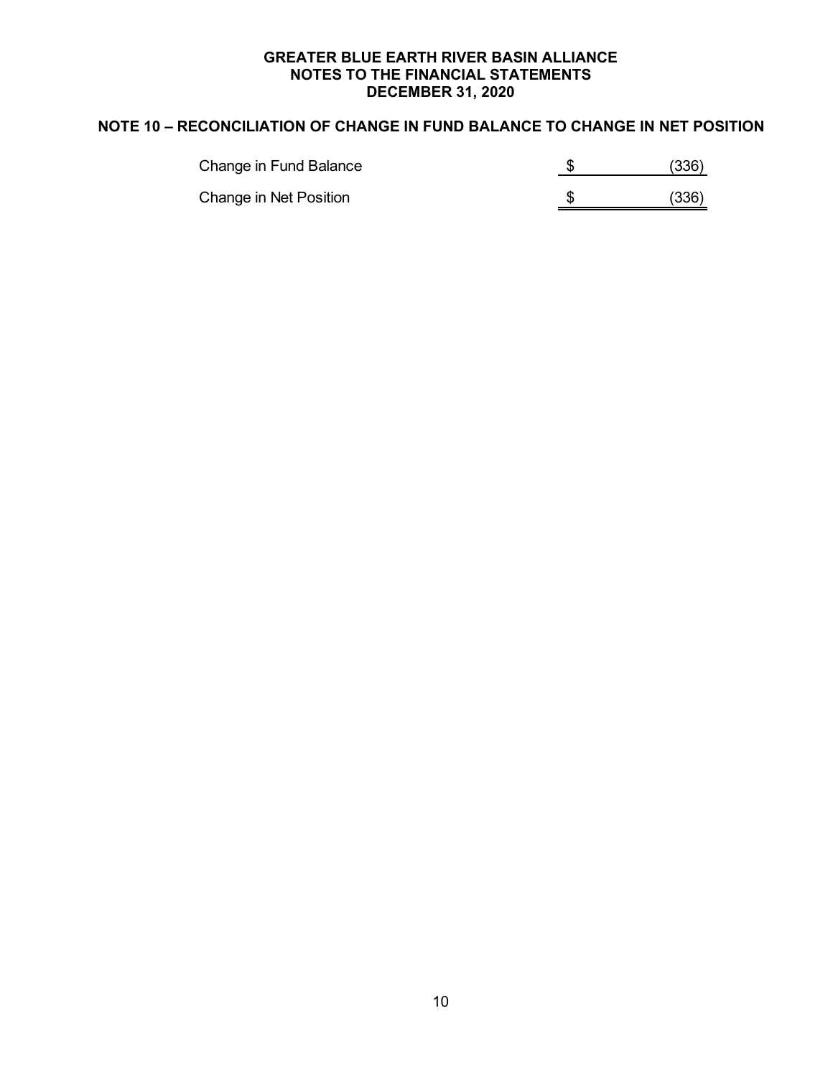# **NOTE 10 – RECONCILIATION OF CHANGE IN FUND BALANCE TO CHANGE IN NET POSITION**

| Change in Fund Balance | (336) |
|------------------------|-------|
| Change in Net Position | (336) |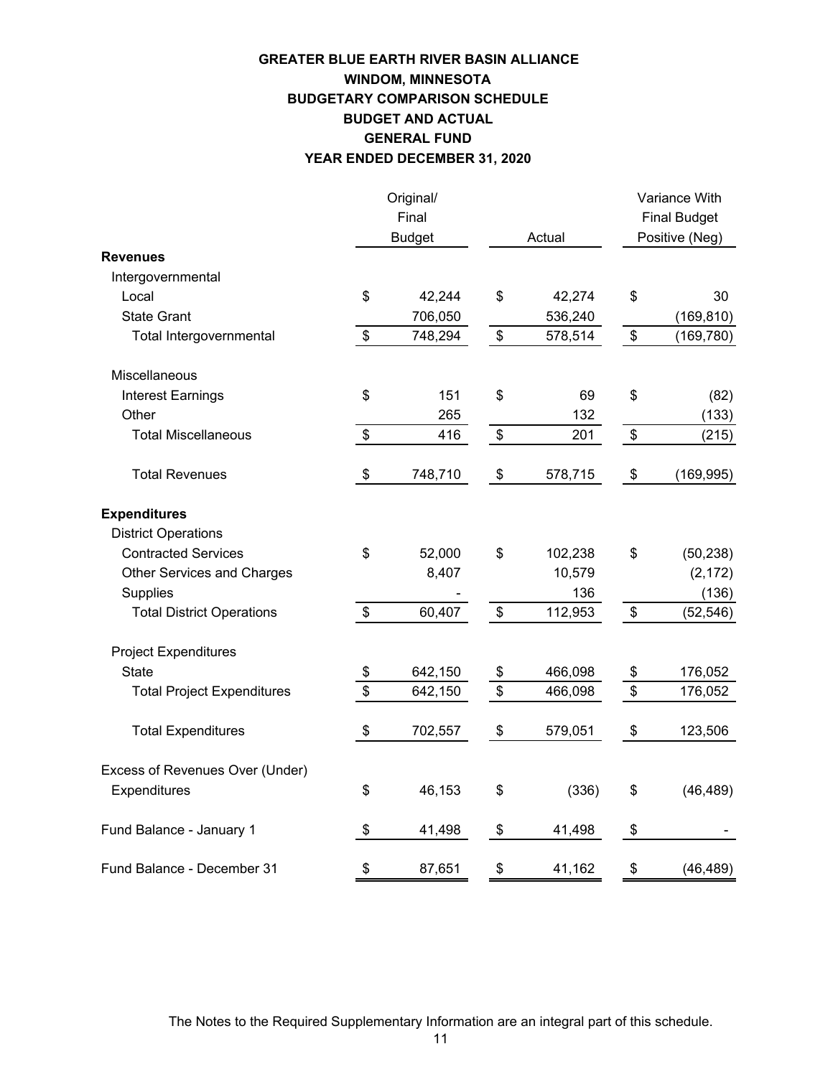# **GREATER BLUE EARTH RIVER BASIN ALLIANCE WINDOM, MINNESOTA BUDGETARY COMPARISON SCHEDULE BUDGET AND ACTUAL GENERAL FUND YEAR ENDED DECEMBER 31, 2020**

|                                   |                           | Original/     |    |         |                | Variance With       |  |
|-----------------------------------|---------------------------|---------------|----|---------|----------------|---------------------|--|
|                                   | Final                     |               |    |         |                | <b>Final Budget</b> |  |
|                                   |                           | <b>Budget</b> |    | Actual  | Positive (Neg) |                     |  |
| <b>Revenues</b>                   |                           |               |    |         |                |                     |  |
| Intergovernmental                 |                           |               |    |         |                |                     |  |
| Local                             | \$                        | 42,244        | \$ | 42,274  | \$             | 30                  |  |
| <b>State Grant</b>                |                           | 706,050       |    | 536,240 |                | (169, 810)          |  |
| Total Intergovernmental           | \$                        | 748,294       | \$ | 578,514 | \$             | (169, 780)          |  |
| Miscellaneous                     |                           |               |    |         |                |                     |  |
| Interest Earnings                 | \$                        | 151           | \$ | 69      | \$             | (82)                |  |
| Other                             |                           | 265           |    | 132     |                | (133)               |  |
| <b>Total Miscellaneous</b>        | \$                        | 416           | \$ | 201     | \$             | (215)               |  |
| <b>Total Revenues</b>             | \$                        | 748,710       | \$ | 578,715 | \$             | (169, 995)          |  |
| <b>Expenditures</b>               |                           |               |    |         |                |                     |  |
| <b>District Operations</b>        |                           |               |    |         |                |                     |  |
| <b>Contracted Services</b>        | \$                        | 52,000        | \$ | 102,238 | \$             | (50, 238)           |  |
| Other Services and Charges        |                           | 8,407         |    | 10,579  |                | (2, 172)            |  |
| Supplies                          |                           |               |    | 136     |                | (136)               |  |
| <b>Total District Operations</b>  | \$                        | 60,407        | \$ | 112,953 | \$             | (52, 546)           |  |
| <b>Project Expenditures</b>       |                           |               |    |         |                |                     |  |
| <b>State</b>                      | \$                        | 642,150       | \$ | 466,098 | \$             | 176,052             |  |
| <b>Total Project Expenditures</b> | \$                        | 642,150       | \$ | 466,098 | \$             | 176,052             |  |
| <b>Total Expenditures</b>         | $\boldsymbol{\mathsf{S}}$ | 702,557       | \$ | 579,051 | \$             | 123,506             |  |
| Excess of Revenues Over (Under)   |                           |               |    |         |                |                     |  |
| Expenditures                      | \$                        | 46,153        | \$ | (336)   | \$             | (46, 489)           |  |
| Fund Balance - January 1          | \$                        | 41,498        | \$ | 41,498  | \$             |                     |  |
| Fund Balance - December 31        | \$                        | 87,651        | \$ | 41,162  | \$             | (46, 489)           |  |

The Notes to the Required Supplementary Information are an integral part of this schedule.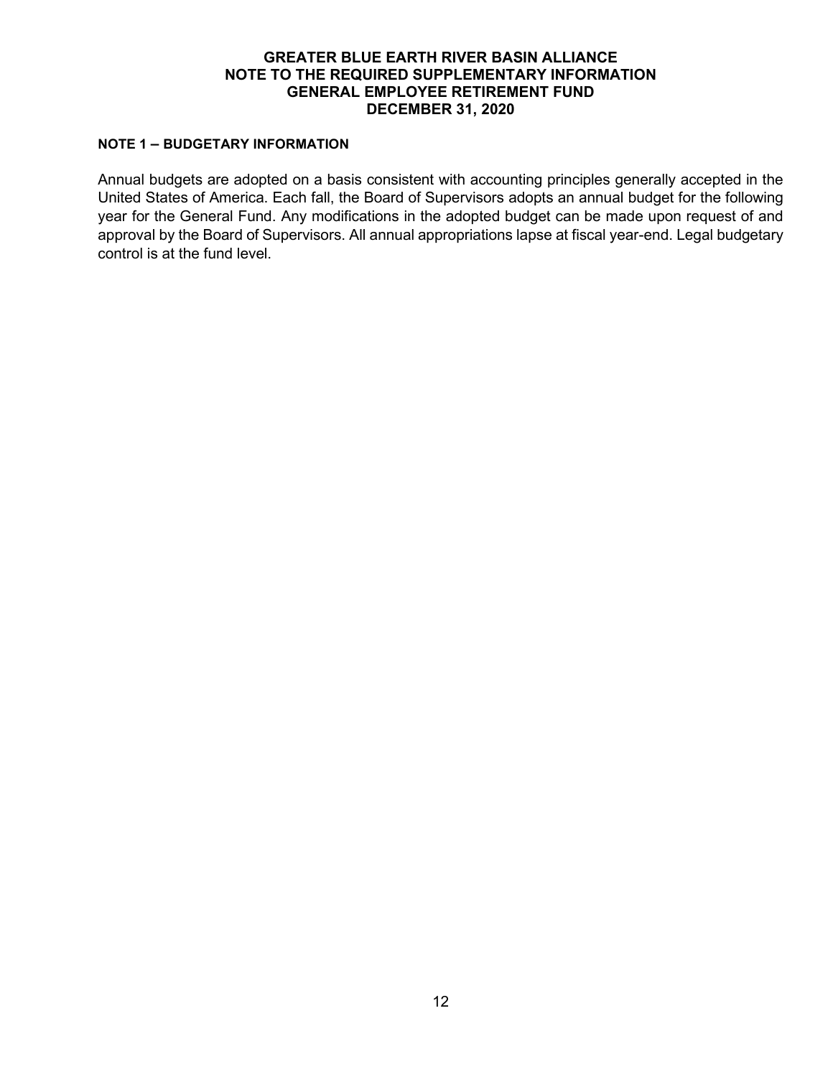#### **GREATER BLUE EARTH RIVER BASIN ALLIANCE NOTE TO THE REQUIRED SUPPLEMENTARY INFORMATION GENERAL EMPLOYEE RETIREMENT FUND DECEMBER 31, 2020**

#### **NOTE 1 – BUDGETARY INFORMATION**

Annual budgets are adopted on a basis consistent with accounting principles generally accepted in the United States of America. Each fall, the Board of Supervisors adopts an annual budget for the following year for the General Fund. Any modifications in the adopted budget can be made upon request of and approval by the Board of Supervisors. All annual appropriations lapse at fiscal year-end. Legal budgetary control is at the fund level.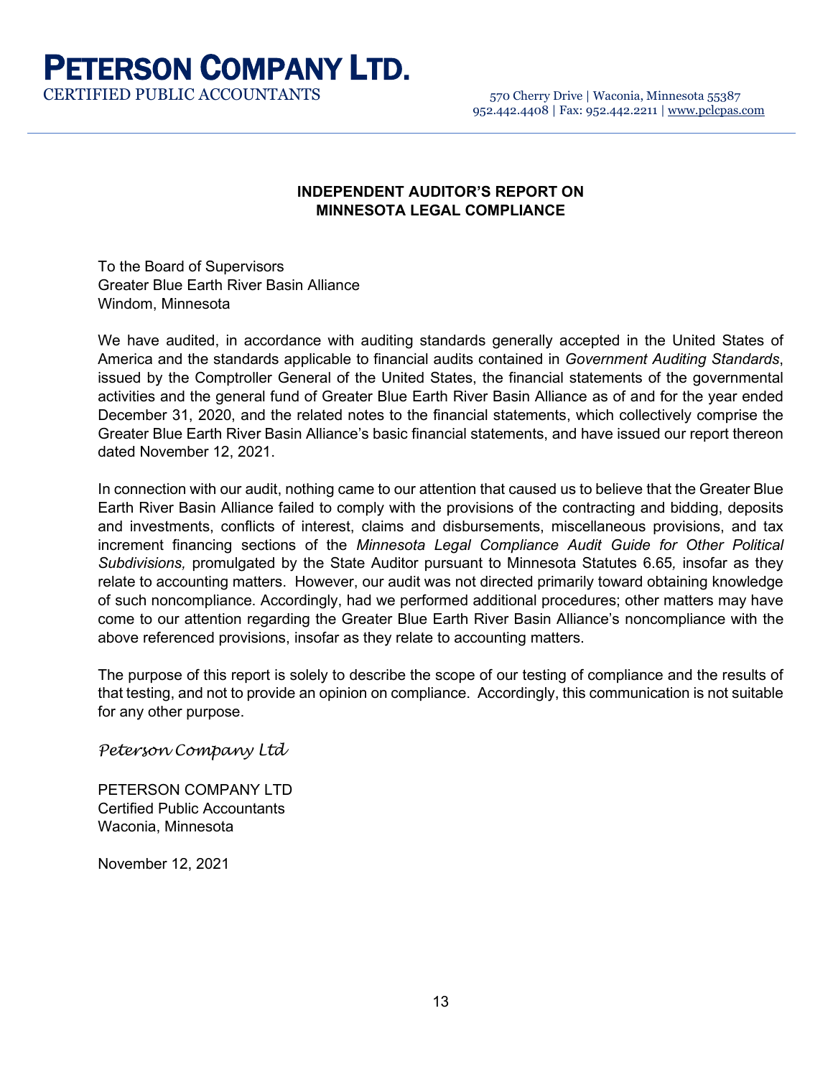**PETERSON COMPANY LTD.**<br>CERTIFIED PUBLIC ACCOUNTANTS 570 Cherry Drive | Waconia, Minnesota 55387

# **INDEPENDENT AUDITOR'S REPORT ON MINNESOTA LEGAL COMPLIANCE**

To the Board of Supervisors Greater Blue Earth River Basin Alliance Windom, Minnesota

We have audited, in accordance with auditing standards generally accepted in the United States of America and the standards applicable to financial audits contained in *Government Auditing Standards*, issued by the Comptroller General of the United States, the financial statements of the governmental activities and the general fund of Greater Blue Earth River Basin Alliance as of and for the year ended December 31, 2020, and the related notes to the financial statements, which collectively comprise the Greater Blue Earth River Basin Alliance's basic financial statements, and have issued our report thereon dated November 12, 2021.

In connection with our audit, nothing came to our attention that caused us to believe that the Greater Blue Earth River Basin Alliance failed to comply with the provisions of the contracting and bidding, deposits and investments, conflicts of interest, claims and disbursements, miscellaneous provisions, and tax increment financing sections of the *Minnesota Legal Compliance Audit Guide for Other Political Subdivisions,* promulgated by the State Auditor pursuant to Minnesota Statutes 6.65*,* insofar as they relate to accounting matters. However, our audit was not directed primarily toward obtaining knowledge of such noncompliance. Accordingly, had we performed additional procedures; other matters may have come to our attention regarding the Greater Blue Earth River Basin Alliance's noncompliance with the above referenced provisions, insofar as they relate to accounting matters.

The purpose of this report is solely to describe the scope of our testing of compliance and the results of that testing, and not to provide an opinion on compliance. Accordingly, this communication is not suitable for any other purpose.

*Peterson Company Ltd*

PETERSON COMPANY LTD Certified Public Accountants Waconia, Minnesota

November 12, 2021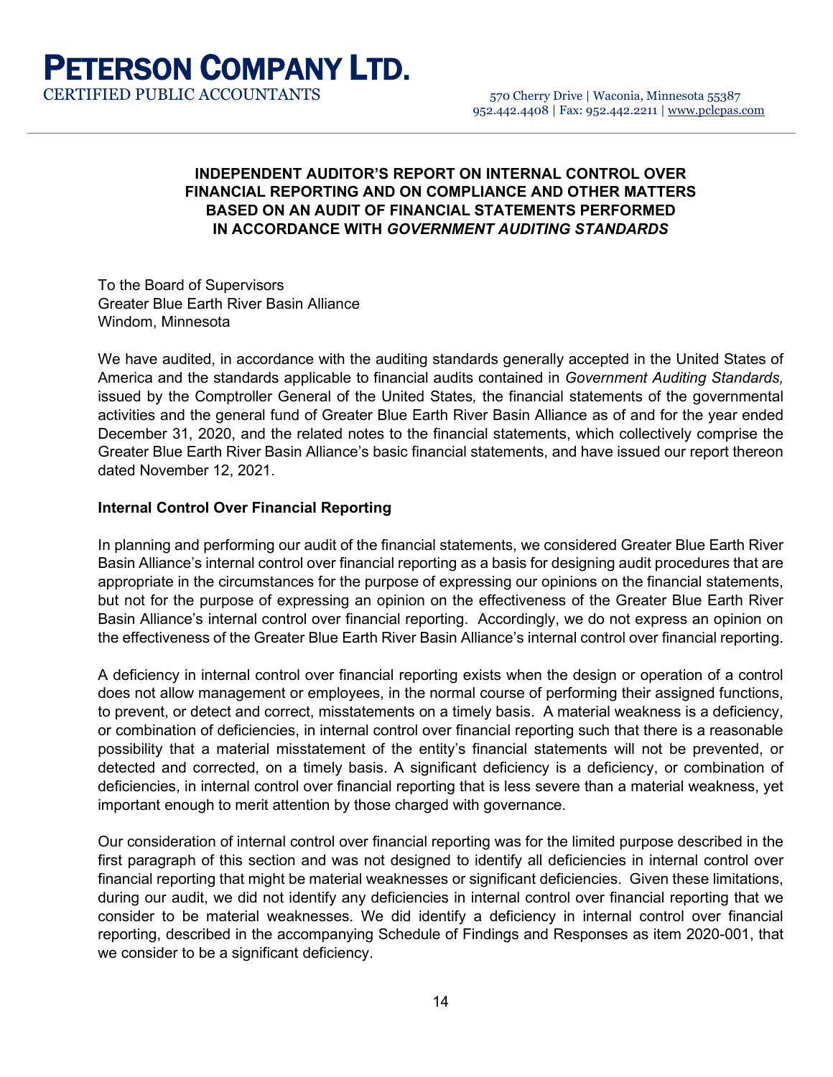# **INDEPENDENT AUDITOR'S REPORT ON INTERNAL CONTROL OVER FINANCIAL REPORTING AND ON COMPLIANCE AND OTHER MATTERS BASED ON AN AUDIT OF FINANCIAL STATEMENTS PERFORMED IN ACCORDANCE WITH** *GOVERNMENT AUDITING STANDARDS*

To the Board of Supervisors Greater Blue Earth River Basin Alliance Windom, Minnesota

We have audited, in accordance with the auditing standards generally accepted in the United States of America and the standards applicable to financial audits contained in *Government Auditing Standards,* issued by the Comptroller General of the United States*,* the financial statements of the governmental activities and the general fund of Greater Blue Earth River Basin Alliance as of and for the year ended December 31, 2020, and the related notes to the financial statements, which collectively comprise the Greater Blue Earth River Basin Alliance's basic financial statements, and have issued our report thereon dated November 12, 2021.

# **Internal Control Over Financial Reporting**

In planning and performing our audit of the financial statements, we considered Greater Blue Earth River Basin Alliance's internal control over financial reporting as a basis for designing audit procedures that are appropriate in the circumstances for the purpose of expressing our opinions on the financial statements, but not for the purpose of expressing an opinion on the effectiveness of the Greater Blue Earth River Basin Alliance's internal control over financial reporting. Accordingly, we do not express an opinion on the effectiveness of the Greater Blue Earth River Basin Alliance's internal control over financial reporting.

A deficiency in internal control over financial reporting exists when the design or operation of a control does not allow management or employees, in the normal course of performing their assigned functions, to prevent, or detect and correct, misstatements on a timely basis. A material weakness is a deficiency, or combination of deficiencies, in internal control over financial reporting such that there is a reasonable possibility that a material misstatement of the entity's financial statements will not be prevented, or detected and corrected, on a timely basis. A significant deficiency is a deficiency, or combination of deficiencies, in internal control over financial reporting that is less severe than a material weakness, yet important enough to merit attention by those charged with governance.

Our consideration of internal control over financial reporting was for the limited purpose described in the first paragraph of this section and was not designed to identify all deficiencies in internal control over financial reporting that might be material weaknesses or significant deficiencies. Given these limitations, during our audit, we did not identify any deficiencies in internal control over financial reporting that we consider to be material weaknesses. We did identify a deficiency in internal control over financial reporting, described in the accompanying Schedule of Findings and Responses as item 2020-001, that we consider to be a significant deficiency.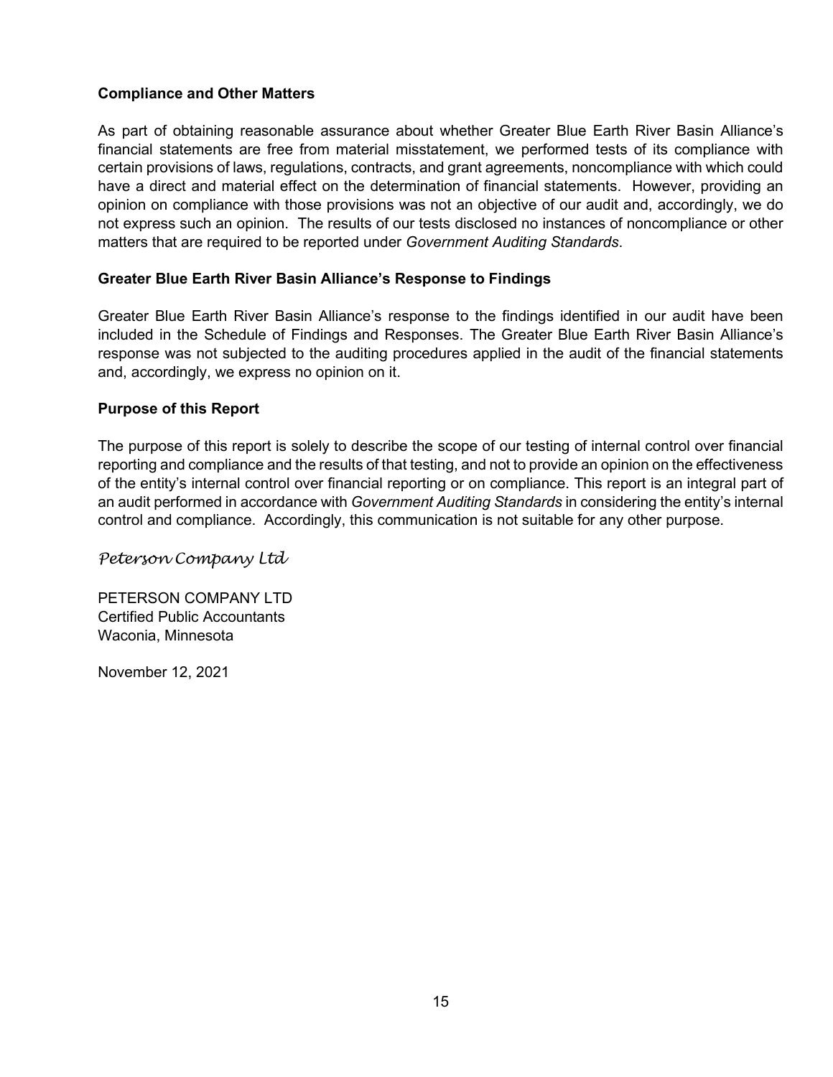## **Compliance and Other Matters**

As part of obtaining reasonable assurance about whether Greater Blue Earth River Basin Alliance's financial statements are free from material misstatement, we performed tests of its compliance with certain provisions of laws, regulations, contracts, and grant agreements, noncompliance with which could have a direct and material effect on the determination of financial statements. However, providing an opinion on compliance with those provisions was not an objective of our audit and, accordingly, we do not express such an opinion. The results of our tests disclosed no instances of noncompliance or other matters that are required to be reported under *Government Auditing Standards*.

# **Greater Blue Earth River Basin Alliance's Response to Findings**

Greater Blue Earth River Basin Alliance's response to the findings identified in our audit have been included in the Schedule of Findings and Responses. The Greater Blue Earth River Basin Alliance's response was not subjected to the auditing procedures applied in the audit of the financial statements and, accordingly, we express no opinion on it.

#### **Purpose of this Report**

The purpose of this report is solely to describe the scope of our testing of internal control over financial reporting and compliance and the results of that testing, and not to provide an opinion on the effectiveness of the entity's internal control over financial reporting or on compliance. This report is an integral part of an audit performed in accordance with *Government Auditing Standards* in considering the entity's internal control and compliance. Accordingly, this communication is not suitable for any other purpose.

*Peterson Company Ltd*

PETERSON COMPANY LTD Certified Public Accountants Waconia, Minnesota

November 12, 2021